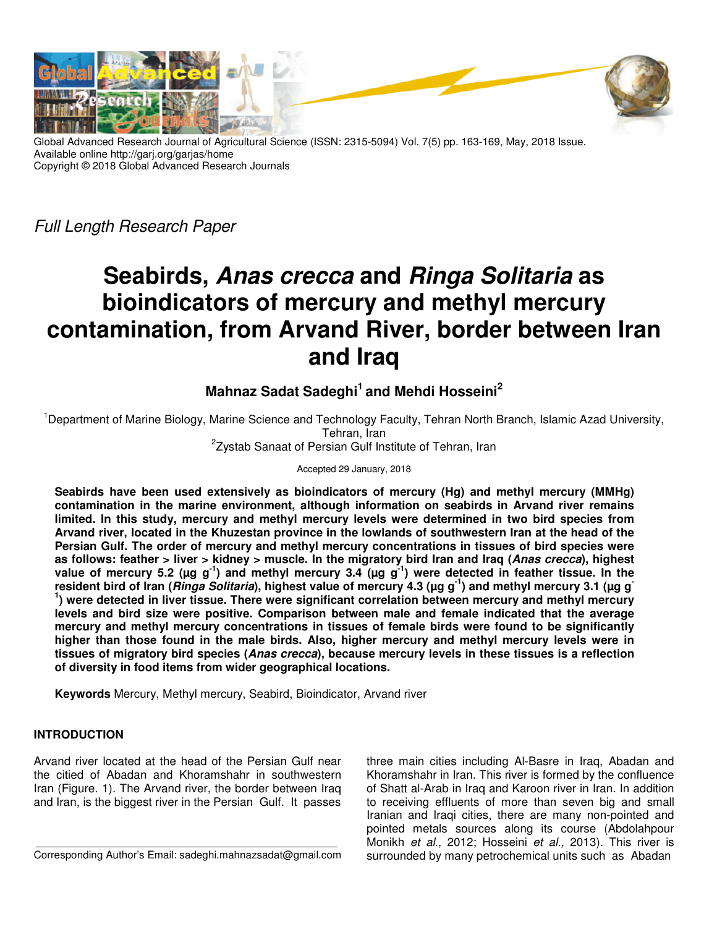

Global Advanced Research Journal of Agricultural Science (ISSN: 2315-5094) Vol. 7(5) pp. 163-169, May, 2018 Issue. Available online http://garj.org/garjas/home Copyright © 2018 Global Advanced Research Journals

Full Length Research Paper

# **Seabirds, Anas crecca and Ringa Solitaria as bioindicators of mercury and methyl mercury contamination, from Arvand River, border between Iran and Iraq**

# **Mahnaz Sadat Sadeghi<sup>1</sup>and Mehdi Hosseini<sup>2</sup>**

<sup>1</sup>Department of Marine Biology, Marine Science and Technology Faculty, Tehran North Branch, Islamic Azad University, Tehran, Iran <sup>2</sup>Zystab Sanaat of Persian Gulf Institute of Tehran, Iran

Accepted 29 January, 2018

**Seabirds have been used extensively as bioindicators of mercury (Hg) and methyl mercury (MMHg) contamination in the marine environment, although information on seabirds in Arvand river remains limited. In this study, mercury and methyl mercury levels were determined in two bird species from Arvand river, located in the Khuzestan province in the lowlands of southwestern Iran at the head of the Persian Gulf. The order of mercury and methyl mercury concentrations in tissues of bird species were as follows: feather > liver > kidney > muscle. In the migratory bird Iran and Iraq (Anas crecca), highest**  value of mercury 5.2 (µg g<sup>-1</sup>) and methyl mercury 3.4 (µg g<sup>-1</sup>) were detected in feather tissue. In the **resident bird of Iran (Ringa Solitaria), highest value of mercury 4.3 (µg g -1) and methyl mercury 3.1 (µg g - 1 ) were detected in liver tissue. There were significant correlation between mercury and methyl mercury levels and bird size were positive. Comparison between male and female indicated that the average mercury and methyl mercury concentrations in tissues of female birds were found to be significantly higher than those found in the male birds. Also, higher mercury and methyl mercury levels were in tissues of migratory bird species (Anas crecca), because mercury levels in these tissues is a reflection of diversity in food items from wider geographical locations.** 

**Keywords** Mercury, Methyl mercury, Seabird, Bioindicator, Arvand river

## **INTRODUCTION**

Arvand river located at the head of the Persian Gulf near the citied of Abadan and Khoramshahr in southwestern Iran (Figure. 1). The Arvand river, the border between Iraq and Iran, is the biggest river in the Persian Gulf. It passes

Corresponding Author's Email: sadeghi.mahnazsadat@gmail.com

three main cities including Al-Basre in Iraq, Abadan and Khoramshahr in Iran. This river is formed by the confluence of Shatt al-Arab in Iraq and Karoon river in Iran. In addition to receiving effluents of more than seven big and small Iranian and Iraqi cities, there are many non-pointed and pointed metals sources along its course (Abdolahpour Monikh et al., 2012; Hosseini et al., 2013). This river is surrounded by many petrochemical units such as Abadan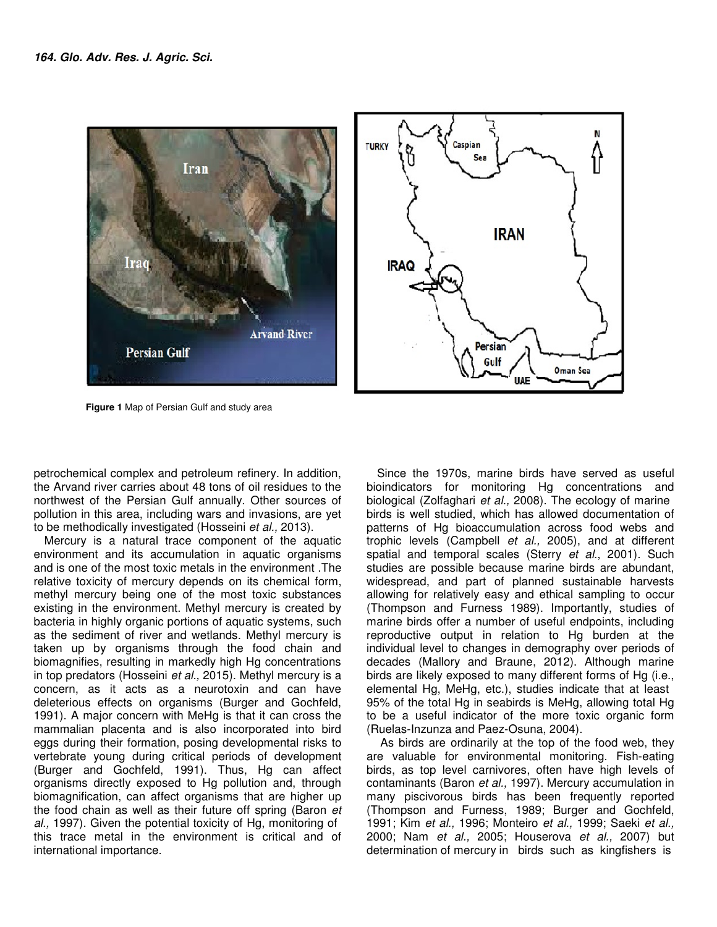



 **Figure 1** Map of Persian Gulf and study area

petrochemical complex and petroleum refinery. In addition, the Arvand river carries about 48 tons of oil residues to the northwest of the Persian Gulf annually. Other sources of pollution in this area, including wars and invasions, are yet to be methodically investigated (Hosseini et al., 2013).

Mercury is a natural trace component of the aquatic environment and its accumulation in aquatic organisms and is one of the most toxic metals in the environment .The relative toxicity of mercury depends on its chemical form, methyl mercury being one of the most toxic substances existing in the environment. Methyl mercury is created by bacteria in highly organic portions of aquatic systems, such as the sediment of river and wetlands. Methyl mercury is taken up by organisms through the food chain and biomagnifies, resulting in markedly high Hg concentrations in top predators (Hosseini et al., 2015). Methyl mercury is a concern, as it acts as a neurotoxin and can have deleterious effects on organisms (Burger and Gochfeld, 1991). A major concern with MeHg is that it can cross the mammalian placenta and is also incorporated into bird eggs during their formation, posing developmental risks to vertebrate young during critical periods of development (Burger and Gochfeld, 1991). Thus, Hg can affect organisms directly exposed to Hg pollution and, through biomagnification, can affect organisms that are higher up the food chain as well as their future off spring (Baron et al., 1997). Given the potential toxicity of Hg, monitoring of this trace metal in the environment is critical and of international importance.

Since the 1970s, marine birds have served as useful bioindicators for monitoring Hg concentrations and biological (Zolfaghari et al., 2008). The ecology of marine birds is well studied, which has allowed documentation of patterns of Hg bioaccumulation across food webs and trophic levels (Campbell et al., 2005), and at different spatial and temporal scales (Sterry et al., 2001). Such studies are possible because marine birds are abundant, widespread, and part of planned sustainable harvests allowing for relatively easy and ethical sampling to occur (Thompson and Furness 1989). Importantly, studies of marine birds offer a number of useful endpoints, including reproductive output in relation to Hg burden at the individual level to changes in demography over periods of decades (Mallory and Braune, 2012). Although marine birds are likely exposed to many different forms of Hg (i.e., elemental Hg, MeHg, etc.), studies indicate that at least 95% of the total Hg in seabirds is MeHg, allowing total Hg to be a useful indicator of the more toxic organic form (Ruelas-Inzunza and Paez-Osuna, 2004).

 As birds are ordinarily at the top of the food web, they are valuable for environmental monitoring. Fish-eating birds, as top level carnivores, often have high levels of contaminants (Baron et al., 1997). Mercury accumulation in many piscivorous birds has been frequently reported (Thompson and Furness, 1989; Burger and Gochfeld, 1991; Kim et al., 1996; Monteiro et al., 1999; Saeki et al., 2000; Nam et al., 2005; Houserova et al., 2007) but determination of mercury in birds such as kingfishers is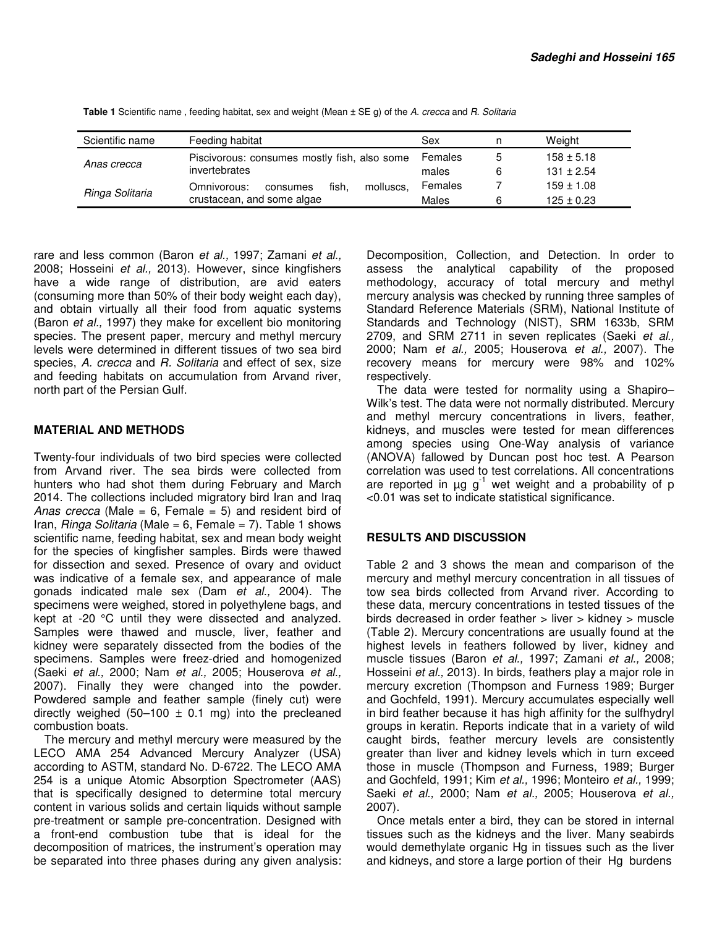| Scientific name | Feeding habitat                               | Sex     | n | Weight         |
|-----------------|-----------------------------------------------|---------|---|----------------|
| Anas crecca     | Piscivorous: consumes mostly fish, also some  | Females | 5 | $158 \pm 5.18$ |
|                 | invertebrates                                 | males   | 6 | $131 \pm 2.54$ |
| Ringa Solitaria | fish.<br>molluscs.<br>Omnivorous:<br>consumes | Females |   | $159 \pm 1.08$ |
|                 | crustacean, and some algae                    | Males   | 6 | $125 \pm 0.23$ |

**Table 1** Scientific name , feeding habitat, sex and weight (Mean ± SE g) of the A. crecca and R. Solitaria

rare and less common (Baron et al., 1997; Zamani et al., 2008; Hosseini et al., 2013). However, since kingfishers have a wide range of distribution, are avid eaters (consuming more than 50% of their body weight each day), and obtain virtually all their food from aquatic systems (Baron et al., 1997) they make for excellent bio monitoring species. The present paper, mercury and methyl mercury levels were determined in different tissues of two sea bird species, A. crecca and R. Solitaria and effect of sex, size and feeding habitats on accumulation from Arvand river, north part of the Persian Gulf.

### **MATERIAL AND METHODS**

Twenty-four individuals of two bird species were collected from Arvand river. The sea birds were collected from hunters who had shot them during February and March 2014. The collections included migratory bird Iran and Iraq Anas crecca (Male =  $6$ , Female =  $5$ ) and resident bird of Iran, *Ringa Solitaria* (Male = 6, Female = 7). Table 1 shows scientific name, feeding habitat, sex and mean body weight for the species of kingfisher samples. Birds were thawed for dissection and sexed. Presence of ovary and oviduct was indicative of a female sex, and appearance of male gonads indicated male sex (Dam et al., 2004). The specimens were weighed, stored in polyethylene bags, and kept at -20 °C until they were dissected and analyzed. Samples were thawed and muscle, liver, feather and kidney were separately dissected from the bodies of the specimens. Samples were freez-dried and homogenized (Saeki et al., 2000; Nam et al., 2005; Houserova et al., 2007). Finally they were changed into the powder. Powdered sample and feather sample (finely cut) were directly weighed (50–100  $\pm$  0.1 mg) into the precleaned combustion boats.

The mercury and methyl mercury were measured by the LECO AMA 254 Advanced Mercury Analyzer (USA) according to ASTM, standard No. D-6722. The LECO AMA 254 is a unique Atomic Absorption Spectrometer (AAS) that is specifically designed to determine total mercury content in various solids and certain liquids without sample pre-treatment or sample pre-concentration. Designed with a front-end combustion tube that is ideal for the decomposition of matrices, the instrument's operation may be separated into three phases during any given analysis:

Decomposition, Collection, and Detection. In order to assess the analytical capability of the proposed methodology, accuracy of total mercury and methyl mercury analysis was checked by running three samples of Standard Reference Materials (SRM), National Institute of Standards and Technology (NIST), SRM 1633b, SRM 2709, and SRM 2711 in seven replicates (Saeki et al., 2000; Nam et al., 2005; Houserova et al., 2007). The recovery means for mercury were 98% and 102% respectively.

The data were tested for normality using a Shapiro– Wilk's test. The data were not normally distributed. Mercury and methyl mercury concentrations in livers, feather, kidneys, and muscles were tested for mean differences among species using One-Way analysis of variance (ANOVA) fallowed by Duncan post hoc test. A Pearson correlation was used to test correlations. All concentrations are reported in  $\mu q q^{-1}$  wet weight and a probability of p <0.01 was set to indicate statistical significance.

#### **RESULTS AND DISCUSSION**

Table 2 and 3 shows the mean and comparison of the mercury and methyl mercury concentration in all tissues of tow sea birds collected from Arvand river. According to these data, mercury concentrations in tested tissues of the birds decreased in order feather > liver > kidney > muscle (Table 2). Mercury concentrations are usually found at the highest levels in feathers followed by liver, kidney and muscle tissues (Baron et al., 1997; Zamani et al., 2008; Hosseini et al., 2013). In birds, feathers play a major role in mercury excretion (Thompson and Furness 1989; Burger and Gochfeld, 1991). Mercury accumulates especially well in bird feather because it has high affinity for the sulfhydryl groups in keratin. Reports indicate that in a variety of wild caught birds, feather mercury levels are consistently greater than liver and kidney levels which in turn exceed those in muscle (Thompson and Furness, 1989; Burger and Gochfeld, 1991; Kim et al., 1996; Monteiro et al., 1999; Saeki et al., 2000; Nam et al., 2005; Houserova et al., 2007).

Once metals enter a bird, they can be stored in internal tissues such as the kidneys and the liver. Many seabirds would demethylate organic Hg in tissues such as the liver and kidneys, and store a large portion of their Hg burdens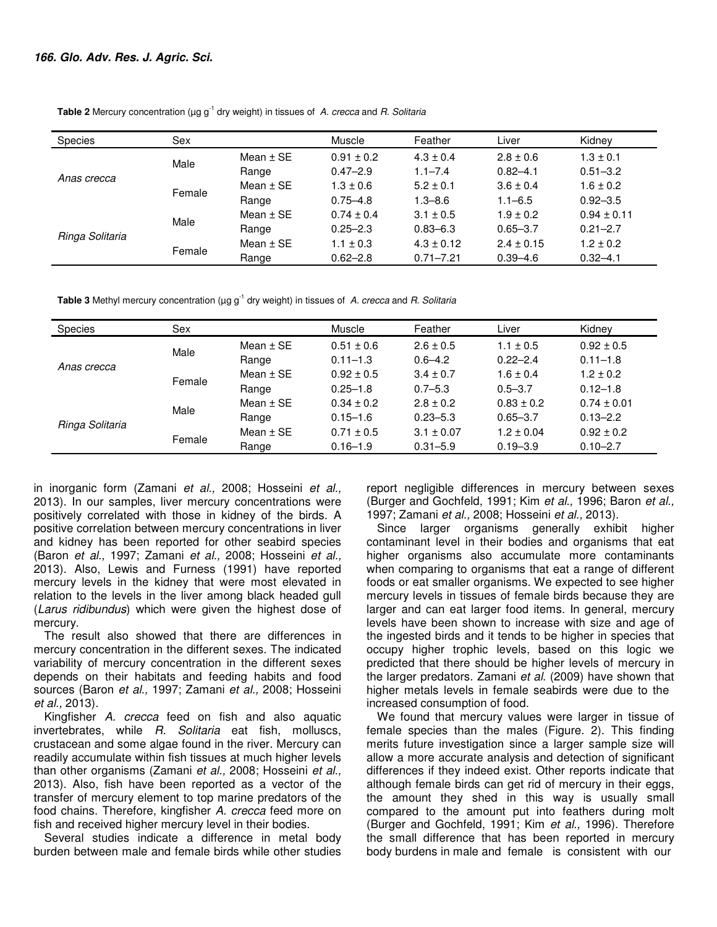**Table 2** Mercury concentration ( $\mu$ g g<sup>-1</sup> dry weight) in tissues of A. crecca and R. Solitaria

| <b>Species</b>  | Sex    |               | <b>Muscle</b>  | Feather        | Liver          | Kidney          |
|-----------------|--------|---------------|----------------|----------------|----------------|-----------------|
| Anas crecca     | Male   | Mean $\pm$ SE | $0.91 \pm 0.2$ | $4.3 \pm 0.4$  | $2.8 \pm 0.6$  | $1.3 \pm 0.1$   |
|                 |        | Range         | $0.47 - 2.9$   | $1.1 - 7.4$    | $0.82 - 4.1$   | $0.51 - 3.2$    |
|                 | Female | Mean $\pm$ SE | $1.3 \pm 0.6$  | $5.2 \pm 0.1$  | $3.6 \pm 0.4$  | $1.6 \pm 0.2$   |
|                 |        | Range         | $0.75 - 4.8$   | $1.3 - 8.6$    | $1.1 - 6.5$    | $0.92 - 3.5$    |
| Ringa Solitaria | Male   | Mean $\pm$ SE | $0.74 \pm 0.4$ | $3.1 \pm 0.5$  | $1.9 \pm 0.2$  | $0.94 \pm 0.11$ |
|                 |        | Range         | $0.25 - 2.3$   | $0.83 - 6.3$   | $0.65 - 3.7$   | $0.21 - 2.7$    |
|                 | Female | Mean $\pm$ SE | $1.1 \pm 0.3$  | $4.3 \pm 0.12$ | $2.4 \pm 0.15$ | $1.2 \pm 0.2$   |
|                 |        | Range         | $0.62 - 2.8$   | $0.71 - 7.21$  | $0.39 - 4.6$   | $0.32 - 4.1$    |

**Table 3** Methyl mercury concentration ( $\mu$ g g<sup>-1</sup> dry weight) in tissues of A. crecca and R. Solitaria

| Species         | Sex    |               | Muscle         | Feather        | Liver          | Kidney          |
|-----------------|--------|---------------|----------------|----------------|----------------|-----------------|
| Anas crecca     | Male   | Mean $\pm$ SE | $0.51 \pm 0.6$ | $2.6 \pm 0.5$  | $1.1 \pm 0.5$  | $0.92 \pm 0.5$  |
|                 |        | Range         | $0.11 - 1.3$   | $0.6 - 4.2$    | $0.22 - 2.4$   | $0.11 - 1.8$    |
|                 | Female | Mean $\pm$ SE | $0.92 \pm 0.5$ | $3.4 \pm 0.7$  | $1.6 \pm 0.4$  | $1.2 \pm 0.2$   |
|                 |        | Range         | $0.25 - 1.8$   | $0.7 - 5.3$    | $0.5 - 3.7$    | $0.12 - 1.8$    |
| Ringa Solitaria | Male   | Mean $\pm$ SE | $0.34 \pm 0.2$ | $2.8 \pm 0.2$  | $0.83 \pm 0.2$ | $0.74 \pm 0.01$ |
|                 |        | Range         | $0.15 - 1.6$   | $0.23 - 5.3$   | $0.65 - 3.7$   | $0.13 - 2.2$    |
|                 | Female | Mean $\pm$ SE | $0.71 \pm 0.5$ | $3.1 \pm 0.07$ | $1.2 \pm 0.04$ | $0.92 \pm 0.2$  |
|                 |        | Range         | $0.16 - 1.9$   | $0.31 - 5.9$   | $0.19 - 3.9$   | $0.10 - 2.7$    |

in inorganic form (Zamani et al., 2008; Hosseini et al., 2013). In our samples, liver mercury concentrations were positively correlated with those in kidney of the birds. A positive correlation between mercury concentrations in liver and kidney has been reported for other seabird species (Baron et al., 1997; Zamani et al., 2008; Hosseini et al., 2013). Also, Lewis and Furness (1991) have reported mercury levels in the kidney that were most elevated in relation to the levels in the liver among black headed gull (Larus ridibundus) which were given the highest dose of mercury.

The result also showed that there are differences in mercury concentration in the different sexes. The indicated variability of mercury concentration in the different sexes depends on their habitats and feeding habits and food sources (Baron et al., 1997; Zamani et al., 2008; Hosseini et al., 2013).

Kingfisher A. crecca feed on fish and also aquatic invertebrates, while R. Solitaria eat fish, molluscs, crustacean and some algae found in the river. Mercury can readily accumulate within fish tissues at much higher levels than other organisms (Zamani et al., 2008; Hosseini et al., 2013). Also, fish have been reported as a vector of the transfer of mercury element to top marine predators of the food chains. Therefore, kingfisher A. crecca feed more on fish and received higher mercury level in their bodies.

Several studies indicate a difference in metal body burden between male and female birds while other studies

report negligible differences in mercury between sexes (Burger and Gochfeld, 1991; Kim et al., 1996; Baron et al., 1997; Zamani et al., 2008; Hosseini et al., 2013).

Since larger organisms generally exhibit higher contaminant level in their bodies and organisms that eat higher organisms also accumulate more contaminants when comparing to organisms that eat a range of different foods or eat smaller organisms. We expected to see higher mercury levels in tissues of female birds because they are larger and can eat larger food items. In general, mercury levels have been shown to increase with size and age of the ingested birds and it tends to be higher in species that occupy higher trophic levels, based on this logic we predicted that there should be higher levels of mercury in the larger predators. Zamani et al. (2009) have shown that higher metals levels in female seabirds were due to the increased consumption of food.

We found that mercury values were larger in tissue of female species than the males (Figure. 2). This finding merits future investigation since a larger sample size will allow a more accurate analysis and detection of significant differences if they indeed exist. Other reports indicate that although female birds can get rid of mercury in their eggs, the amount they shed in this way is usually small compared to the amount put into feathers during molt (Burger and Gochfeld, 1991; Kim et al., 1996). Therefore the small difference that has been reported in mercury body burdens in male and female is consistent with our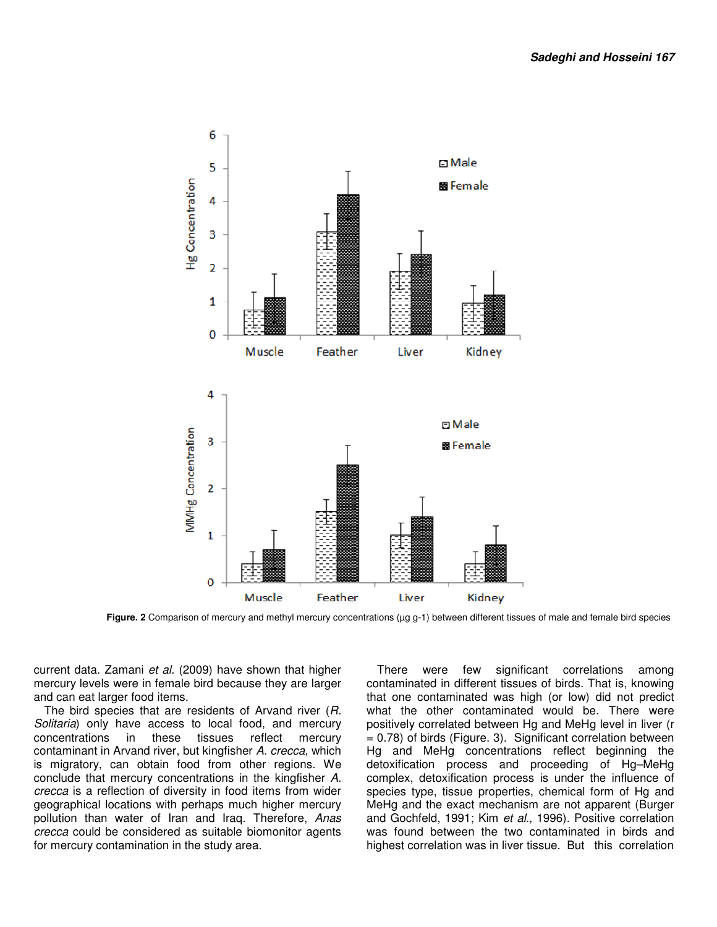

**Figure. 2** Comparison of mercury and methyl mercury concentrations (µg g-1) between different tissues of male and female bird species

current data. Zamani et al. (2009) have shown that higher mercury levels were in female bird because they are larger and can eat larger food items.

The bird species that are residents of Arvand river (R. Solitaria) only have access to local food, and mercury concentrations in these tissues reflect mercury contaminant in Arvand river, but kingfisher A. crecca, which is migratory, can obtain food from other regions. We conclude that mercury concentrations in the kingfisher A. crecca is a reflection of diversity in food items from wider geographical locations with perhaps much higher mercury pollution than water of Iran and Iraq. Therefore, Anas crecca could be considered as suitable biomonitor agents for mercury contamination in the study area.

There were few significant correlations among contaminated in different tissues of birds. That is, knowing that one contaminated was high (or low) did not predict what the other contaminated would be. There were positively correlated between Hg and MeHg level in liver (r = 0.78) of birds (Figure. 3). Significant correlation between Hg and MeHg concentrations reflect beginning the detoxification process and proceeding of Hg–MeHg complex, detoxification process is under the influence of species type, tissue properties, chemical form of Hg and MeHg and the exact mechanism are not apparent (Burger and Gochfeld, 1991; Kim et al., 1996). Positive correlation was found between the two contaminated in birds and highest correlation was in liver tissue. But this correlation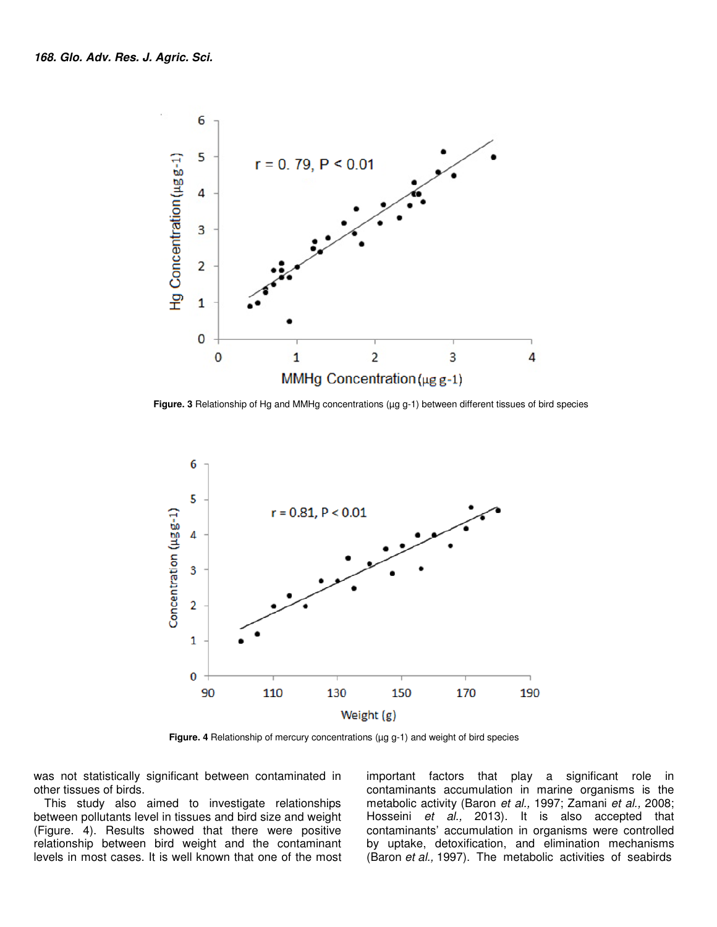

 **Figure. 3** Relationship of Hg and MMHg concentrations (µg g-1) between different tissues of bird species



 **Figure. 4** Relationship of mercury concentrations (µg g-1) and weight of bird species

was not statistically significant between contaminated in other tissues of birds.

This study also aimed to investigate relationships between pollutants level in tissues and bird size and weight (Figure. 4). Results showed that there were positive relationship between bird weight and the contaminant levels in most cases. It is well known that one of the most

important factors that play a significant role in contaminants accumulation in marine organisms is the metabolic activity (Baron et al., 1997; Zamani et al., 2008; Hosseini et al., 2013). It is also accepted that contaminants' accumulation in organisms were controlled by uptake, detoxification, and elimination mechanisms (Baron et al., 1997). The metabolic activities of seabirds